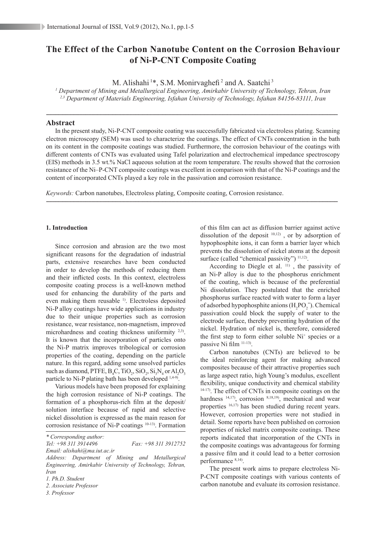# **The Effect of the Carbon Nanotube Content on the Corrosion Behaviour of Ni-P-CNT Composite Coating**

M. Alishahi<sup>1\*</sup>, S.M. Monirvaghefi<sup>2</sup> and A. Saatchi<sup>3</sup>

*1 Department of Mining and Metallurgical Engineering, Amirkabir University of Technology, Tehran, Iran 2,3 Department of Materials Engineering, Isfahan University of Technology, Isfahan 84156-83111, Iran*

-------------------------------------------------------------------------------------------------------------------------------------------------------------------------------------------------

## **Abstract**

In the present study, Ni-P-CNT composite coating was successfully fabricated via electroless plating. Scanning electron microscopy (SEM) was used to characterize the coatings. The effect of CNTs concentration in the bath on its content in the composite coatings was studied. Furthermore, the corrosion behaviour of the coatings with different contents of CNTs was evaluated using Tafel polarization and electrochemical impedance spectroscopy (EIS) methods in 3.5 wt.% NaCl aqueous solution at the room temperature. The results showed that the corrosion resistance of the Ni–P-CNT composite coatings was excellent in comparison with that of the Ni-P coatings and the content of incorporated CNTs played a key role in the passivation and corrosion resistance.

-------------------------------------------------------------------------------------------------------------------------------------------------------------------------------------------------

*Keywords:* Carbon nanotubes, Electroless plating, Composite coating, Corrosion resistance.

## **1.** Introduction

Since corrosion and abrasion are the two most significant reasons for the degradation of industrial parts, extensive researches have been conducted in order to develop the methods of reducing them and their inflicted costs. In this context, electroless composite coating process is a well-known method used for enhancing the durability of the parts and even making them reusable <sup>1)</sup>. Electroless deposited Ni-P alloy coatings have wide applications in industry due to their unique properties such as corrosion resistance, wear resistance, non-magnetism, improved microhardness and coating thickness uniformity 2,3). It is known that the incorporation of particles onto the Ni-P matrix improves tribological or corrosion properties of the coating, depending on the particle nature. In this regard, adding some unsolved particles such as diamond, PTFE,  $B_4C$ , TiO<sub>2</sub>, SiO<sub>2</sub>, Si<sub>3</sub>N<sub>4</sub> or Al<sub>2</sub>O<sub>3</sub> particle to Ni-P plating bath has been developed <sup>1,4-9</sup>.

Various models have been proposed for explaining the high corrosion resistance of Ni-P coatings. The formation of a phosphorus-rich film at the deposit/ solution interface because of rapid and selective nickel dissolution is expressed as the main reason for corrosion resistance of Ni-P coatings 10-13). Formation

*Tel: +98 311 3914496 Fax: +98 311 3912752*

of this film can act as diffusion barrier against active dissolution of the deposit  $10,12$ ), or by adsorption of hypophosphite ions, it can form a barrier layer which prevents the dissolution of nickel atoms at the deposit surface (called "chemical passivity") <sup>11,12</sup>).

According to Diegle et al.  $11)$ , the passivity of an Ni-P alloy is due to the phosphorus enrichment of the coating, which is because of the preferential Ni dissolution. They postulated that the enriched phosphorus surface reacted with water to form a layer of adsorbed hypophosphite anions  $(H_2PO_2^-)$ . Chemical passivation could block the supply of water to the electrode surface, thereby preventing hydration of the nickel. Hydration of nickel is, therefore, considered the first step to form either soluble  $Ni<sup>+</sup>$  species or a passive Ni film 11-13).

Carbon nanotubes (CNTs) are believed to be the ideal reinforcing agent for making advanced composites because of their attractive properties such as large aspect ratio, high Young's modulus, excellent flexibility, unique conductivity and chemical stability 14-17). The effect of CNTs in composite coatings on the hardness <sup>14,17)</sup>, corrosion <sup>8,18,19)</sup>, mechanical and wear properties 16,17) has been studied during recent years. However, corrosion properties were not studied in detail. Some reports have been published on corrosion properties of nickel matrix composite coatings. These reports indicated that incorporation of the CNTs in the composite coatings was advantageous for forming a passive film and it could lead to a better corrosion performance 8,14).

The present work aims to prepare electroless Ni-P-CNT composite coatings with various contents of carbon nanotube and evaluate its corrosion resistance.

*<sup>\*</sup> Corresponding author:*

*Email: alishahi@ma.iut.ac.ir Address: Department of Mining and Metallurgical* 

*Engineering, Amirkabir University of Technology, Tehran, Iran*

*<sup>1.</sup> Ph.D. Student*

*<sup>2.</sup> Associate Professor*

*<sup>3.</sup> Professor*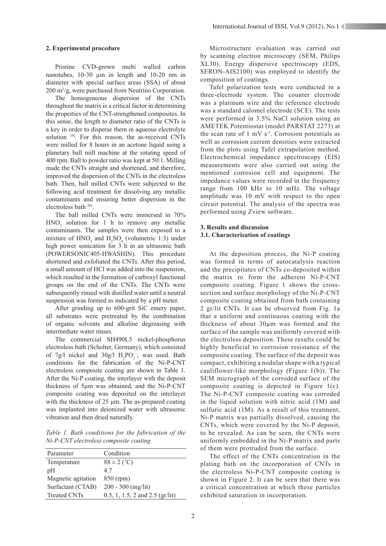## **2. Experimental procedure**

Pristine CVD-grown multi walled carbon nanotubes, 10-30  $\mu$ m in length and 10-20 nm in diameter with special surface areas (SSA) of about 200 m2 /g, were purchased from Neutrino Corporation.

The homogeneous dispersion of the CNTs throughout the matrix is a critical factor in determining the properties of the CNT-strengthened composites. In this sense, the length to diameter ratio of the CNTs is a key in order to disperse them in aqueous electrolyte solution <sup>19)</sup>. For this reason, the as-received CNTs were milled for 8 hours in an acetone liquid using a planetary ball mill machine at the rotating speed of 400 rpm. Ball to powder ratio was kept at 50:1. Milling made the CNTs straight and shortened, and therefore, improved the dispersion of the CNTs in the electroless bath. Then, ball milled CNTs were subjected to the following acid treatment for dissolving any metallic contaminants and ensuring better dispersion in the electroless bath 20).

The ball milled CNTs were immersed in 70%  $HNO<sub>3</sub>$  solution for 1 h to remove any metallic contaminants. The samples were then exposed to a mixture of  $HNO<sub>3</sub>$  and  $H<sub>2</sub>SO<sub>4</sub>$  (volumetric 1:3) under high power sonication for 3 h in an ultrasonic bath (POWERSONIC405-HWASHIN). This procedure shortened and exfoliated the CNTs. After this period, a small amount of HCl was added into the suspension, which resulted in the formation of carboxyl functional groups on the end of the CNTs. The CNTs were subsequently rinsed with distilled water until a neutral suspension was formed as indicated by a pH meter.

After grinding up to 600-grit SiC emery paper, all substrates were pretreated by the combination of organic solvents and alkaline degreasing with intermediate water rinses.

The commercial SH490L5 nickel-phosphorus electroless bath (Scholter, Germany), which consisted of 7g/l nickel and  $30g/1 H_2PO_2^-$ , was used. Bath conditions for the fabrication of the Ni-P-CNT electroless composite coating are shown in Table 1. After the Ni-P coating, the interlayer with the deposit thickness of 5μm was obtained, and the Ni-P-CNT composite coating was deposited on the interlayer with the thickness of 25 μm. The as-prepared coating was implanted into deionized water with ultrasonic vibration and then dried naturally.

*Table 1. Bath conditions for the fabrication of the Ni-P-CNT electroless composite coating*

| Parameter           | Condition                           |
|---------------------|-------------------------------------|
| Temperature         | $88 \pm 2$ (°C)                     |
| pH                  | 47                                  |
| Magnetic agitation  | 850 (rpm)                           |
| Surfactant (CTAB)   | $200 - 300$ (mg/lit)                |
| <b>Treated CNTs</b> | 0.5, 1, 1.5, 2 and 2.5 ( $gr/lit$ ) |

Microstructure evaluation was carried out by scanning electron microscopy (SEM, Philips XL30). Energy dispersive spectroscopy (EDS, SERON-AIS2100) was employed to identify the composition of coatings.

Tafel polarization tests were conducted in a three-electrode system. The counter electrode was a platinum wire and the reference electrode was a standard calomel electrode (SCE). The tests were performed in 3.5% NaCl solution using an AMETEK Potentiostat (model PARSTAT 2273) at the scan rate of  $1 \text{ mV s}^{-1}$ . Corrosion potentials as well as corrosion current densities were extracted from the plots using Tafel extrapolation method. Electrochemical impedance spectroscopy (EIS) measurements were also carried out using the mentioned corrosion cell and equipment. The impedance values were recorded in the frequency range from 100 kHz to 10 mHz. The voltage amplitude was 10 mV with respect to the open circuit potential. The analysis of the spectra was performed using Zview software.

## **3. Results and discussion 3.1. Characterization of coatings**

At the deposition process, the Ni-P coating was formed in terms of autocatalysis reaction and the precipitates of CNTs co-deposited within the matrix to form the adherent Ni-P-CNT composite coating. Figure 1 shows the crosssection and surface morphology of the Ni-P-CNT composite coating obtained from bath containing 2 gr/lit CNTs. It can be observed from Fig. 1a that a uniform and continuous coating with the thickness of about 30µm was formed and the surface of the sample was uniformly covered with the electroless deposition. These results could be highly beneficial to corrosion resistance of the composite coating. The surface of the deposit was compact, exhibiting a nodular shape with a typical cauliflower-like morphology (Figure 1(b)). The SEM micrograph of the corroded surface of the composite coating is depicted in Figure 1(c). The Ni-P-CNT composite coating was corroded in the liquid solution with nitric acid (1M) and sulfuric acid (1M). As a result of this treatment, Ni-P matrix was partially dissolved, causing the CNTs, which were covered by the Ni-P deposit, to be revealed. As can be seen, the CNTs were uniformly embedded in the Ni-P matrix and parts of them were protruded from the surface.

The effect of the CNTs concentration in the plating bath on the incorporation of CNTs in the electroless Ni-P-CNT composite coating is shown in Figure 2. It can be seen that there was a critical concentration at which these particles exhibited saturation in incorporation.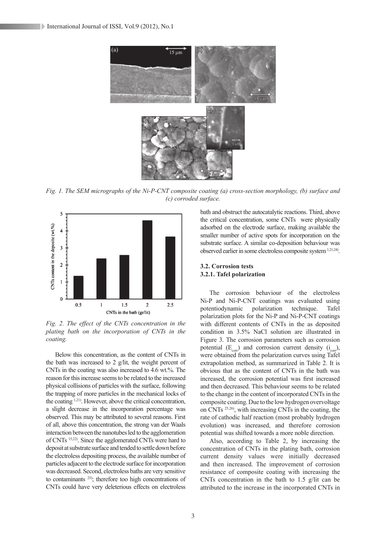

*Fig. 1. The SEM micrographs of the Ni-P-CNT composite coating (a) cross-section morphology, (b) surface and (c) corroded surface.*



*Fig. 2. The effect of the CNTs concentration in the plating bath on the incorporation of CNTs in the coating.*

Below this concentration, as the content of CNTs in the bath was increased to 2 g/lit, the weight percent of CNTs in the coating was also increased to 4.6 wt.%. The reason for this increase seems to be related to the increased physical collisions of particles with the surface, following the trapping of more particles in the mechanical locks of the coating 1,21). However, above the critical concentration, a slight decrease in the incorporation percentage was observed. This may be attributed to several reasons. First of all, above this concentration, the strong van der Waals interaction between the nanotubes led to the agglomeration of CNTs 15,22). Since the agglomerated CNTs were hard to deposit at substrate surface and tended to settle down before the electroless depositing process, the available number of particles adjacent to the electrode surface for incorporation was decreased. Second, electroless baths are very sensitive to contaminants 23); therefore too high concentrations of CNTs could have very deleterious effects on electroless

bath and obstruct the autocatalytic reactions. Third, above the critical concentration, some CNTs were physically adsorbed on the electrode surface, making available the smaller number of active spots for incorporation on the substrate surface. A similar co-deposition behaviour was observed earlier in some electroless composite system 1,21,24).

# **3.2. Corrosion tests 3.2.1. Tafel polarization**

The corrosion behaviour of the electroless Ni-P and Ni-P-CNT coatings was evaluated using potentiodynamic polarization technique. Tafel polarization plots for the Ni-P and Ni-P-CNT coatings with different contents of CNTs in the as deposited condition in 3.5% NaCl solution are illustrated in Figure 3. The corrosion parameters such as corrosion potential  $(E_{\text{corr}})$  and corrosion current density  $(i_{\text{corr}})$ , were obtained from the polarization curves using Tafel extrapolation method, as summarized in Table 2. It is obvious that as the content of CNTs in the bath was increased, the corrosion potential was first increased and then decreased. This behaviour seems to be related to the change in the content of incorporated CNTs in the composite coating. Due to the low hydrogen overvoltage on CNTs 25,26), with increasing CNTs in the coating, the rate of cathodic half reaction (most probably hydrogen evolution) was increased, and therefore corrosion potential was shifted towards a more noble direction.

Also, according to Table 2, by increasing the concentration of CNTs in the plating bath, corrosion current density values were initially decreased and then increased. The improvement of corrosion resistance of composite coating with increasing the CNTs concentration in the bath to 1.5 g/lit can be attributed to the increase in the incorporated CNTs in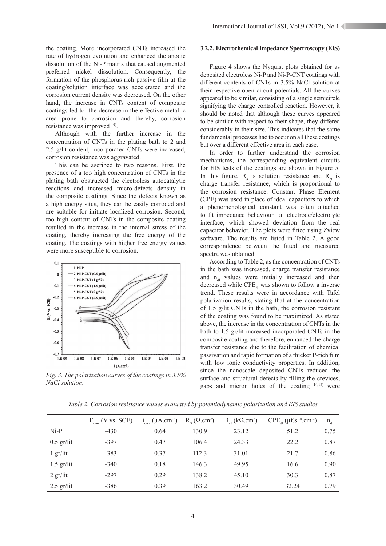the coating. More incorporated CNTs increased the rate of hydrogen evolution and enhanced the anodic dissolution of the Ni-P matrix that caused augmented preferred nickel dissolution. Consequently, the formation of the phosphorus-rich passive film at the coating/solution interface was accelerated and the corrosion current density was decreased. On the other hand, the increase in CNTs content of composite coatings led to the decrease in the effective metallic area prone to corrosion and thereby, corrosion resistance was improved <sup>19)</sup>.

Although with the further increase in the concentration of CNTs in the plating bath to 2 and 2.5 g/lit content, incorporated CNTs were increased, corrosion resistance was aggravated.

This can be ascribed to two reasons. First, the presence of a too high concentration of CNTs in the plating bath obstructed the electroless autocatalytic reactions and increased micro-defects density in the composite coatings. Since the defects known as a high energy sites, they can be easily corroded and are suitable for initiate localized corrosion. Second, too high content of CNTs in the composite coating resulted in the increase in the internal stress of the coating, thereby increasing the free energy of the coating. The coatings with higher free energy values were more susceptible to corrosion.



*Fig. 3. The polarization curves of the coatings in 3.5% NaCl solution.*

#### **3.2.2. Electrochemical Impedance Spectroscopy (EIS)**

Figure 4 shows the Nyquist plots obtained for as deposited electroless Ni-P and Ni-P-CNT coatings with different contents of CNTs in 3.5% NaCl solution at their respective open circuit potentials. All the curves appeared to be similar, consisting of a single semicircle signifying the charge controlled reaction. However, it should be noted that although these curves appeared to be similar with respect to their shape, they differed considerably in their size. This indicates that the same fundamental processes had to occur on all these coatings but over a different effective area in each case.

In order to further understand the corrosion mechanisms, the corresponding equivalent circuits for EIS tests of the coatings are shown in Figure 5. In this figure,  $R_s$  is solution resistance and  $R_{ct}$  is charge transfer resistance, which is proportional to the corrosion resistance. Constant Phase Element (CPE) was used in place of ideal capacitors to which a phenomenological constant was often attached to fit impedance behaviour at electrode/electrolyte interface, which showed deviation from the real capacitor behavior. The plots were fitted using Zview software. The results are listed in Table 2. A good correspondence between the fitted and measured spectra was obtained.

According to Table 2, as the concentration of CNTs in the bath was increased, charge transfer resistance and  $n_d$  values were initially increased and then decreased while  $\text{CPE}_{\text{dl}}$  was shown to follow a inverse trend. These results were in accordance with Tafel polarization results, stating that at the concentration of 1.5 g/lit CNTs in the bath, the corrosion resistant of the coating was found to be maximized. As stated above, the increase in the concentration of CNTs in the bath to 1.5 gr/lit increased incorporated CNTs in the composite coating and therefore, enhanced the charge transfer resistance due to the facilitation of chemical passivation and rapid formation of a thicker P-rich film with low ionic conductivity properties. In addition, since the nanoscale deposited CNTs reduced the surface and structural defects by filling the crevices, gaps and micron holes of the coating 14,18) were

|              | $E_{\text{corr}}$ (V vs. SCE) | $i_{corr} (\mu A.cm^{-2})$ | $R_c (\Omega.cm^2)$ | $R_{\text{ct}}$ (kQ.cm <sup>2</sup> ) | $CPE_{d}(\mu f.s^{1-n}.cm^{-2})$ | $n_{\rm dl}$ |
|--------------|-------------------------------|----------------------------|---------------------|---------------------------------------|----------------------------------|--------------|
| $Ni-P$       | $-430$                        | 0.64                       | 130.9               | 23.12                                 | 51.2                             | 0.75         |
| $0.5$ gr/lit | $-397$                        | 0.47                       | 106.4               | 24.33                                 | 22.2                             | 0.87         |
| $1$ gr/lit   | $-383$                        | 0.37                       | 112.3               | 31.01                                 | 21.7                             | 0.86         |
| $1.5$ gr/lit | $-340$                        | 0.18                       | 146.3               | 49.95                                 | 16.6                             | 0.90         |
| $2$ gr/lit   | $-297$                        | 0.29                       | 138.2               | 45.10                                 | 30.3                             | 0.87         |
| $2.5$ gr/lit | $-386$                        | 0.39                       | 163.2               | 30.49                                 | 32.24                            | 0.79         |

*Table 2. Corrosion resistance values evaluated by potentiodynamic polarization and EIS studies*